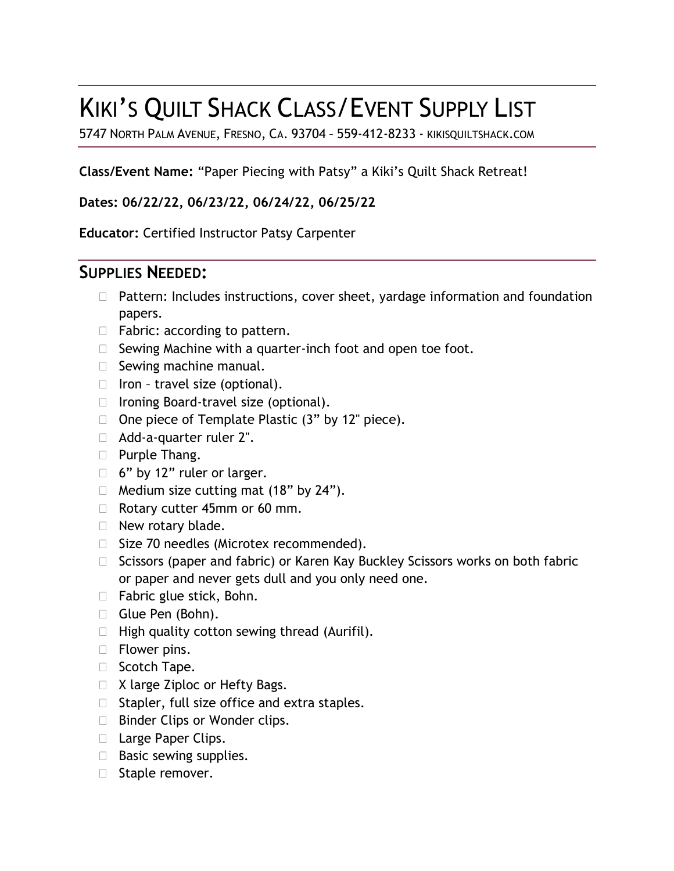# KIKI'S QUILT SHACK CLASS/EVENT SUPPLY LIST

5747 NORTH PALM AVENUE, FRESNO, CA. 93704 – 559-412-8233 - KIKISQUILTSHACK.COM

**Class/Event Name:** "Paper Piecing with Patsy" a Kiki's Quilt Shack Retreat!

**Dates: 06/22/22, 06/23/22, 06/24/22, 06/25/22**

**Educator:** Certified Instructor Patsy Carpenter

# **SUPPLIES NEEDED:**

- $\Box$  Pattern: Includes instructions, cover sheet, yardage information and foundation papers.
- $\Box$  Fabric: according to pattern.
- $\Box$  Sewing Machine with a quarter-inch foot and open toe foot.
- $\Box$  Sewing machine manual.
- $\Box$  Iron travel size (optional).
- □ Ironing Board-travel size (optional).
- $\Box$  One piece of Template Plastic (3" by 12" piece).
- Add-a-quarter ruler 2".
- **Purple Thang.**
- $\Box$  6" by 12" ruler or larger.
- $\Box$  Medium size cutting mat (18" by 24").
- Rotary cutter 45mm or 60 mm.
- $\Box$  New rotary blade.
- □ Size 70 needles (Microtex recommended).
- $\Box$  Scissors (paper and fabric) or Karen Kay Buckley Scissors works on both fabric or paper and never gets dull and you only need one.
- $\Box$  Fabric glue stick, Bohn.
- Glue Pen (Bohn).
- $\Box$  High quality cotton sewing thread (Aurifil).
- **Flower pins.**
- □ Scotch Tape.
- □ X large Ziploc or Hefty Bags.
- $\Box$  Stapler, full size office and extra staples.
- □ Binder Clips or Wonder clips.
- □ Large Paper Clips.
- $\Box$  Basic sewing supplies.
- □ Staple remover.